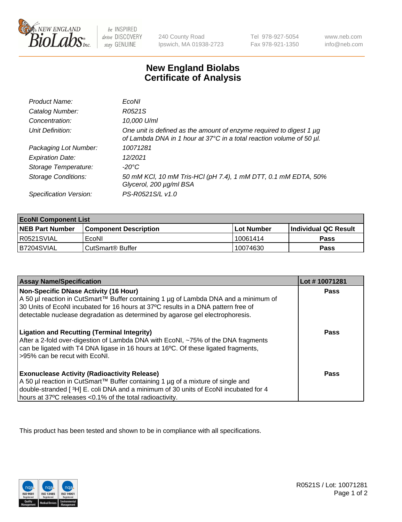

 $be$  INSPIRED drive DISCOVERY stay GENUINE

240 County Road Ipswich, MA 01938-2723 Tel 978-927-5054 Fax 978-921-1350 www.neb.com info@neb.com

## **New England Biolabs Certificate of Analysis**

| Product Name:              | EcoNI                                                                                                                                       |
|----------------------------|---------------------------------------------------------------------------------------------------------------------------------------------|
| Catalog Number:            | R0521S                                                                                                                                      |
| Concentration:             | 10,000 U/ml                                                                                                                                 |
| Unit Definition:           | One unit is defined as the amount of enzyme required to digest 1 µg<br>of Lambda DNA in 1 hour at 37°C in a total reaction volume of 50 µl. |
| Packaging Lot Number:      | 10071281                                                                                                                                    |
| <b>Expiration Date:</b>    | 12/2021                                                                                                                                     |
| Storage Temperature:       | $-20^{\circ}$ C                                                                                                                             |
| <b>Storage Conditions:</b> | 50 mM KCl, 10 mM Tris-HCl (pH 7.4), 1 mM DTT, 0.1 mM EDTA, 50%<br>Glycerol, 200 µg/ml BSA                                                   |
| Specification Version:     | PS-R0521S/L v1.0                                                                                                                            |

| <b>EcoNI Component List</b> |                         |              |                             |  |
|-----------------------------|-------------------------|--------------|-----------------------------|--|
| <b>NEB Part Number</b>      | l Component Description | l Lot Number | <b>Individual QC Result</b> |  |
| R0521SVIAL                  | EcoNI                   | 10061414     | <b>Pass</b>                 |  |
| B7204SVIAL                  | l CutSmart® Buffer      | 10074630     | Pass                        |  |

| <b>Assay Name/Specification</b>                                                                                                                                                                                                                                                                           | Lot #10071281 |
|-----------------------------------------------------------------------------------------------------------------------------------------------------------------------------------------------------------------------------------------------------------------------------------------------------------|---------------|
| <b>Non-Specific DNase Activity (16 Hour)</b><br>A 50 µl reaction in CutSmart™ Buffer containing 1 µg of Lambda DNA and a minimum of<br>30 Units of EcoNI incubated for 16 hours at 37°C results in a DNA pattern free of<br>detectable nuclease degradation as determined by agarose gel electrophoresis. | Pass          |
| <b>Ligation and Recutting (Terminal Integrity)</b><br>After a 2-fold over-digestion of Lambda DNA with EcoNI, ~75% of the DNA fragments<br>can be ligated with T4 DNA ligase in 16 hours at 16°C. Of these ligated fragments,<br>>95% can be recut with EcoNI.                                            | Pass          |
| <b>Exonuclease Activity (Radioactivity Release)</b><br>A 50 µl reaction in CutSmart™ Buffer containing 1 µg of a mixture of single and<br>double-stranded [3H] E. coli DNA and a minimum of 30 units of EcoNI incubated for 4<br>hours at 37°C releases <0.1% of the total radioactivity.                 | Pass          |

This product has been tested and shown to be in compliance with all specifications.